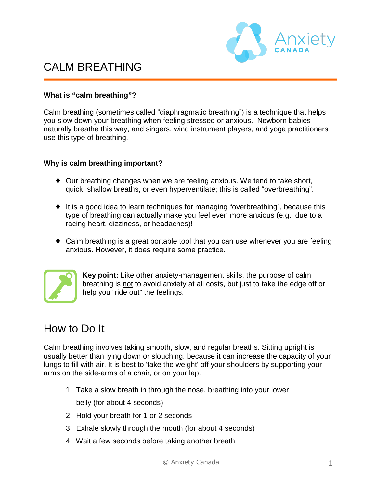

### **What is "calm breathing"?**

Calm breathing (sometimes called "diaphragmatic breathing") is a technique that helps you slow down your breathing when feeling stressed or anxious. Newborn babies naturally breathe this way, and singers, wind instrument players, and yoga practitioners use this type of breathing.

### **Why is calm breathing important?**

- ♦ Our breathing changes when we are feeling anxious. We tend to take short, quick, shallow breaths, or even hyperventilate; this is called "overbreathing".
- ♦ It is a good idea to learn techniques for managing "overbreathing", because this type of breathing can actually make you feel even more anxious (e.g., due to a racing heart, dizziness, or headaches)!
- Calm breathing is a great portable tool that you can use whenever you are feeling anxious. However, it does require some practice.



**Key point:** Like other anxiety-management skills, the purpose of calm breathing is not to avoid anxiety at all costs, but just to take the edge off or help you "ride out" the feelings.

# How to Do It

Calm breathing involves taking smooth, slow, and regular breaths. Sitting upright is usually better than lying down or slouching, because it can increase the capacity of your lungs to fill with air. It is best to 'take the weight' off your shoulders by supporting your arms on the side-arms of a chair, or on your lap.

- 1. Take a slow breath in through the nose, breathing into your lower belly (for about 4 seconds)
- 2. Hold your breath for 1 or 2 seconds
- 3. Exhale slowly through the mouth (for about 4 seconds)
- 4. Wait a few seconds before taking another breath